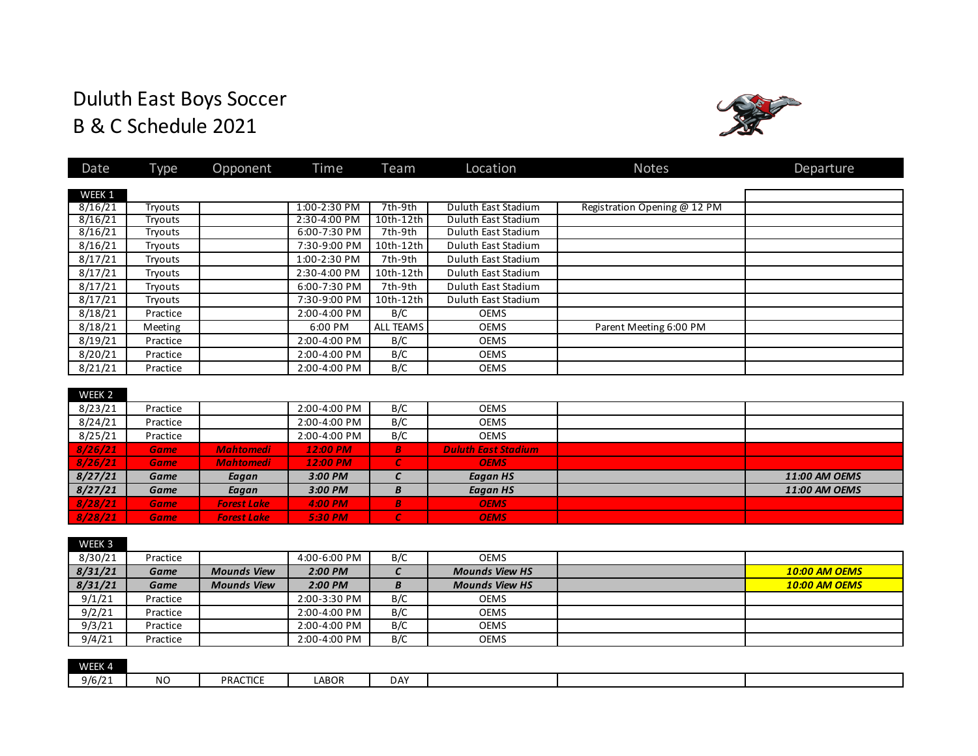# Duluth East Boys Soccer B & C Schedule 2021



| Date    | <b>Type</b> | Opponent           | Time         | Team              | Location                   | <b>Notes</b>                 | Departure            |
|---------|-------------|--------------------|--------------|-------------------|----------------------------|------------------------------|----------------------|
|         |             |                    |              |                   |                            |                              |                      |
| WEEK 1  |             |                    |              |                   |                            |                              |                      |
| 8/16/21 | Tryouts     |                    | 1:00-2:30 PM | 7th-9th           | Duluth East Stadium        | Registration Opening @ 12 PM |                      |
| 8/16/21 | Tryouts     |                    | 2:30-4:00 PM | 10th-12th         | Duluth East Stadium        |                              |                      |
| 8/16/21 | Tryouts     |                    | 6:00-7:30 PM | 7th-9th           | Duluth East Stadium        |                              |                      |
| 8/16/21 | Tryouts     |                    | 7:30-9:00 PM | 10th-12th         | Duluth East Stadium        |                              |                      |
| 8/17/21 | Tryouts     |                    | 1:00-2:30 PM | 7th-9th           | Duluth East Stadium        |                              |                      |
| 8/17/21 | Tryouts     |                    | 2:30-4:00 PM | 10th-12th         | Duluth East Stadium        |                              |                      |
| 8/17/21 | Tryouts     |                    | 6:00-7:30 PM | 7th-9th           | Duluth East Stadium        |                              |                      |
| 8/17/21 | Tryouts     |                    | 7:30-9:00 PM | 10th-12th         | Duluth East Stadium        |                              |                      |
| 8/18/21 | Practice    |                    | 2:00-4:00 PM | B/C               | <b>OEMS</b>                |                              |                      |
| 8/18/21 | Meeting     |                    | 6:00 PM      | <b>ALL TEAMS</b>  | <b>OEMS</b>                | Parent Meeting 6:00 PM       |                      |
| 8/19/21 | Practice    |                    | 2:00-4:00 PM | B/C               | <b>OEMS</b>                |                              |                      |
| 8/20/21 | Practice    |                    | 2:00-4:00 PM | B/C               | <b>OEMS</b>                |                              |                      |
| 8/21/21 | Practice    |                    | 2:00-4:00 PM | B/C               | <b>OEMS</b>                |                              |                      |
|         |             |                    |              |                   |                            |                              |                      |
| WEEK 2  |             |                    |              |                   |                            |                              |                      |
| 8/23/21 | Practice    |                    | 2:00-4:00 PM | B/C               | <b>OEMS</b>                |                              |                      |
| 8/24/21 | Practice    |                    | 2:00-4:00 PM | B/C               | <b>OEMS</b>                |                              |                      |
| 8/25/21 | Practice    |                    | 2:00-4:00 PM | B/C               | <b>OEMS</b>                |                              |                      |
| 8/26/21 | <b>Game</b> | <b>Mahtomedi</b>   | 12:00 PM     | $\boldsymbol{B}$  | <b>Duluth East Stadium</b> |                              |                      |
| 8/26/21 | <b>Game</b> | <b>Mahtomedi</b>   | 12:00 PM     | $\epsilon$        | <b>OEMS</b>                |                              |                      |
| 8/27/21 | Game        | Eagan              | 3:00 PM      | $\epsilon$        | <b>Eagan HS</b>            |                              | 11:00 AM OEMS        |
| 8/27/21 | Game        | Eagan              | 3:00 PM      | B                 | <b>Eagan HS</b>            |                              | 11:00 AM OEMS        |
| 8/28/21 | <b>Game</b> | <b>Forest Lake</b> | 4:00 PM      | $\boldsymbol{B}$  | <b>OEMS</b>                |                              |                      |
| 8/28/21 | <b>Game</b> | <b>Forest Lake</b> | 5:30 PM      | $\epsilon$        | <b>OEMS</b>                |                              |                      |
|         |             |                    |              |                   |                            |                              |                      |
| WEEK 3  |             |                    |              |                   |                            |                              |                      |
| 8/30/21 | Practice    |                    | 4:00-6:00 PM | B/C               | <b>OEMS</b>                |                              |                      |
| 8/31/21 | <b>Game</b> | <b>Mounds View</b> | 2:00 PM      | $\mathcal{C}_{0}$ | <b>Mounds View HS</b>      |                              | <b>10:00 AM OEMS</b> |
| 8/31/21 | Game        | <b>Mounds View</b> | 2:00 PM      | B                 | <b>Mounds View HS</b>      |                              | <b>10:00 AM OEMS</b> |

| 9/4/21 | Practice |                 | 2:00-4:00 PM | B/C        | <b>OEMS</b> |  |
|--------|----------|-----------------|--------------|------------|-------------|--|
|        |          |                 |              |            |             |  |
| WEEK 4 |          |                 |              |            |             |  |
| 9/6/21 | NO       | <b>PRACTICE</b> | <b>LABOR</b> | <b>DAY</b> |             |  |

9/1/21 Practice 2:00-3:30 PM B/C OEMS<br>9/2/21 Practice 2:00-4:00 PM B/C OEMS

9/3/21 Practice | 2:00-4:00 PM B/C | OEMS

Practice 2:00-4:00 PM